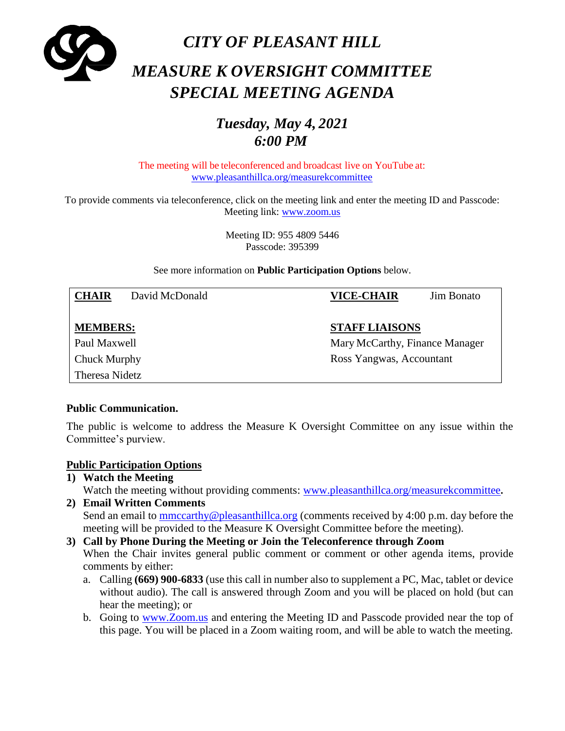

# *Tuesday, May 4, 2021 6:00 PM*

The meeting will be teleconferenced and broadcast live on YouTube at: [www.pleasanthillca.org/measurekcommittee](http://www.pleasanthillca.org/measurekcommittee)

To provide comments via teleconference, click on the meeting link and enter the meeting ID and Passcode: Meeting link: [www.zoom.us](http://www.zoom.us/)

> Meeting ID: 955 4809 5446 Passcode: 395399

See more information on **Public Participation Options** below.

| <b>CHAIR</b>    | David McDonald |                       | <b>VICE-CHAIR</b>              | <b>Jim Bonato</b> |
|-----------------|----------------|-----------------------|--------------------------------|-------------------|
|                 |                |                       |                                |                   |
| <b>MEMBERS:</b> |                | <b>STAFF LIAISONS</b> |                                |                   |
| Paul Maxwell    |                |                       | Mary McCarthy, Finance Manager |                   |
| Chuck Murphy    |                |                       | Ross Yangwas, Accountant       |                   |
| Theresa Nidetz  |                |                       |                                |                   |

#### **Public Communication.**

The public is welcome to address the Measure K Oversight Committee on any issue within the Committee's purview.

#### **Public Participation Options**

- **1) Watch the Meeting** Watch the meeting without providing comments: [www.pleasanthillca.org/measurekcommittee](http://www.pleasanthillca.org/measurekcommittee)**.**
- **2) Email Written Comments**  Send an email to [mmccarthy@pleasanthillca.org](mailto:mmccarthy@pleasanthillca.org) (comments received by 4:00 p.m. day before the meeting will be provided to the Measure K Oversight Committee before the meeting).

#### **3) Call by Phone During the Meeting or Join the Teleconference through Zoom** When the Chair invites general public comment or comment or other agenda items, provide

- comments by either: a. Calling **(669) 900-6833** (use this call in number also to supplement a PC, Mac, tablet or device without audio). The call is answered through Zoom and you will be placed on hold (but can
	- hear the meeting); or b. Going to [www.Zoom.us](http://www.zoom.us/) and entering the Meeting ID and Passcode provided near the top of
	- this page. You will be placed in a Zoom waiting room, and will be able to watch the meeting.